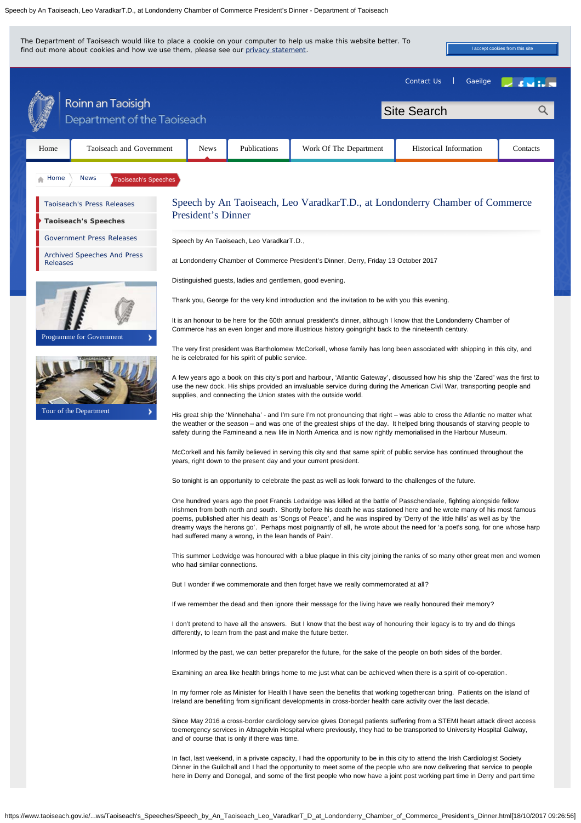Speech by An Taoiseach, Leo VaradkarT.D., at Londonderry Chamber of Commerce President's Dinner - Department of Taoiseach

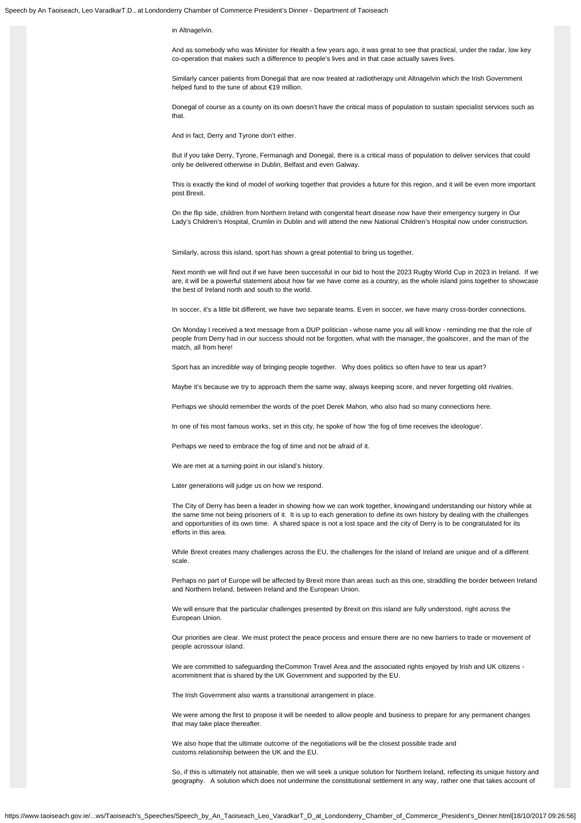## in Altnagelvin.

And as somebody who was Minister for Health a few years ago, it was great to see that practical, under the radar, low key co-operation that makes such a difference to people's lives and in that case actually saves lives.

Similarly cancer patients from Donegal that are now treated at radiotherapy unit Altnagelvin which the Irish Government helped fund to the tune of about €19 million.

Donegal of course as a county on its own doesn't have the critical mass of population to sustain specialist services such as that.

And in fact, Derry and Tyrone don't either.

But if you take Derry, Tyrone, Fermanagh and Donegal, there is a critical mass of population to deliver services that could only be delivered otherwise in Dublin, Belfast and even Galway.

This is exactly the kind of model of working together that provides a future for this region, and it will be even more important post Brexit.

On the flip side, children from Northern Ireland with congenital heart disease now have their emergency surgery in Our Lady's Children's Hospital, Crumlin in Dublin and will attend the new National Children's Hospital now under construction.

Similarly, across this island, sport has shown a great potential to bring us together.

Next month we will find out if we have been successful in our bid to host the 2023 Rugby World Cup in 2023 in Ireland. If we are, it will be a powerful statement about how far we have come as a country, as the whole island joins together to showcase the best of Ireland north and south to the world.

In soccer, it's a little bit different, we have two separate teams. Even in soccer, we have many cross-border connections.

On Monday I received a text message from a DUP politician - whose name you all will know - reminding me that the role of people from Derry had in our success should not be forgotten, what with the manager, the goalscorer, and the man of the match, all from here!

Sport has an incredible way of bringing people together. Why does politics so often have to tear us apart?

Maybe it's because we try to approach them the same way, always keeping score, and never forgetting old rivalries.

Perhaps we should remember the words of the poet Derek Mahon, who also had so many connections here.

In one of his most famous works, set in this city, he spoke of how 'the fog of time receives the ideologue'.

Perhaps we need to embrace the fog of time and not be afraid of it.

We are met at a turning point in our island's history.

Later generations will judge us on how we respond.

The City of Derry has been a leader in showing how we can work together, knowingand understanding our history while at the same time not being prisoners of it. It is up to each generation to define its own history by dealing with the challenges and opportunities of its own time. A shared space is not a lost space and the city of Derry is to be congratulated for its efforts in this area.

While Brexit creates many challenges across the EU, the challenges for the island of Ireland are unique and of a different scale.

Perhaps no part of Europe will be affected by Brexit more than areas such as this one, straddling the border between Ireland and Northern Ireland, between Ireland and the European Union.

We will ensure that the particular challenges presented by Brexit on this island are fully understood, right across the European Union.

Our priorities are clear. We must protect the peace process and ensure there are no new barriers to trade or movement of people acrossour island.

We are committed to safeguarding theCommon Travel Area and the associated rights enjoyed by Irish and UK citizens acommitment that is shared by the UK Government and supported by the EU.

The Irish Government also wants a transitional arrangement in place.

We were among the first to propose it will be needed to allow people and business to prepare for any permanent changes that may take place thereafter.

We also hope that the ultimate outcome of the negotiations will be the closest possible trade and customs relationship between the UK and the EU.

So, if this is ultimately not attainable, then we will seek a unique solution for Northern Ireland, reflecting its unique history and geography. A solution which does not undermine the constitutional settlement in any way, rather one that takes account of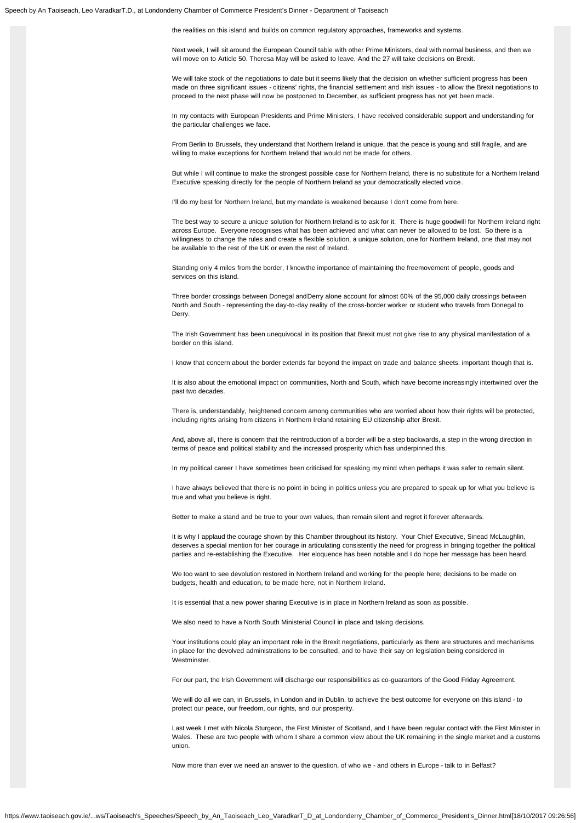Speech by An Taoiseach, Leo VaradkarT.D., at Londonderry Chamber of Commerce President's Dinner - Department of Taoiseach

the realities on this island and builds on common regulatory approaches, frameworks and systems.

Next week, I will sit around the European Council table with other Prime Ministers, deal with normal business, and then we will move on to Article 50. Theresa May will be asked to leave. And the 27 will take decisions on Brexit.

We will take stock of the negotiations to date but it seems likely that the decision on whether sufficient progress has been made on three significant issues - citizens' rights, the financial settlement and Irish issues - to allow the Brexit negotiations to proceed to the next phase will now be postponed to December, as sufficient progress has not yet been made.

In my contacts with European Presidents and Prime Ministers, I have received considerable support and understanding for the particular challenges we face.

From Berlin to Brussels, they understand that Northern Ireland is unique, that the peace is young and still fragile, and are willing to make exceptions for Northern Ireland that would not be made for others.

But while I will continue to make the strongest possible case for Northern Ireland, there is no substitute for a Northern Ireland Executive speaking directly for the people of Northern Ireland as your democratically elected voice.

I'll do my best for Northern Ireland, but my mandate is weakened because I don't come from here.

The best way to secure a unique solution for Northern Ireland is to ask for it. There is huge goodwill for Northern Ireland right across Europe. Everyone recognises what has been achieved and what can never be allowed to be lost. So there is a willingness to change the rules and create a flexible solution, a unique solution, one for Northern Ireland, one that may not be available to the rest of the UK or even the rest of Ireland.

Standing only 4 miles from the border, I knowthe importance of maintaining the freemovement of people, goods and services on this island.

Three border crossings between Donegal andDerry alone account for almost 60% of the 95,000 daily crossings between North and South - representing the day-to-day reality of the cross-border worker or student who travels from Donegal to Derry.

The Irish Government has been unequivocal in its position that Brexit must not give rise to any physical manifestation of a border on this island.

I know that concern about the border extends far beyond the impact on trade and balance sheets, important though that is.

It is also about the emotional impact on communities, North and South, which have become increasingly intertwined over the past two decades.

There is, understandably, heightened concern among communities who are worried about how their rights will be protected, including rights arising from citizens in Northern Ireland retaining EU citizenship after Brexit.

And, above all, there is concern that the reintroduction of a border will be a step backwards, a step in the wrong direction in terms of peace and political stability and the increased prosperity which has underpinned this.

In my political career I have sometimes been criticised for speaking my mind when perhaps it was safer to remain silent.

I have always believed that there is no point in being in politics unless you are prepared to speak up for what you believe is true and what you believe is right.

Better to make a stand and be true to your own values, than remain silent and regret it forever afterwards.

It is why I applaud the courage shown by this Chamber throughout its history. Your Chief Executive, Sinead McLaughlin, deserves a special mention for her courage in articulating consistently the need for progress in bringing together the political parties and re-establishing the Executive. Her eloquence has been notable and I do hope her message has been heard.

We too want to see devolution restored in Northern Ireland and working for the people here; decisions to be made on budgets, health and education, to be made here, not in Northern Ireland.

It is essential that a new power sharing Executive is in place in Northern Ireland as soon as possible.

We also need to have a North South Ministerial Council in place and taking decisions.

Your institutions could play an important role in the Brexit negotiations, particularly as there are structures and mechanisms in place for the devolved administrations to be consulted, and to have their say on legislation being considered in **Westminster** 

For our part, the Irish Government will discharge our responsibilities as co-guarantors of the Good Friday Agreement.

We will do all we can, in Brussels, in London and in Dublin, to achieve the best outcome for everyone on this island - to protect our peace, our freedom, our rights, and our prosperity.

Last week I met with Nicola Sturgeon, the First Minister of Scotland, and I have been regular contact with the First Minister in Wales. These are two people with whom I share a common view about the UK remaining in the single market and a customs union.

Now more than ever we need an answer to the question, of who we - and others in Europe - talk to in Belfast?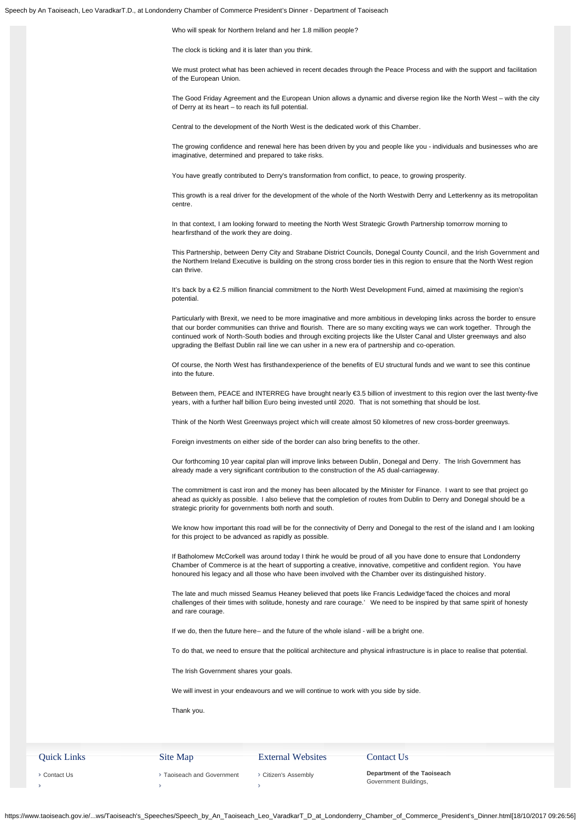Who will speak for Northern Ireland and her 1.8 million people?

The clock is ticking and it is later than you think.

We must protect what has been achieved in recent decades through the Peace Process and with the support and facilitation of the European Union.

The Good Friday Agreement and the European Union allows a dynamic and diverse region like the North West – with the city of Derry at its heart – to reach its full potential.

Central to the development of the North West is the dedicated work of this Chamber.

The growing confidence and renewal here has been driven by you and people like you - individuals and businesses who are imaginative, determined and prepared to take risks.

You have greatly contributed to Derry's transformation from conflict, to peace, to growing prosperity.

This growth is a real driver for the development of the whole of the North Westwith Derry and Letterkenny as its metropolitan centre.

In that context, I am looking forward to meeting the North West Strategic Growth Partnership tomorrow morning to hearfirsthand of the work they are doing.

This Partnership, between Derry City and Strabane District Councils, Donegal County Council, and the Irish Government and the Northern Ireland Executive is building on the strong cross border ties in this region to ensure that the North West region can thrive.

It's back by a €2.5 million financial commitment to the North West Development Fund, aimed at maximising the region's potential.

Particularly with Brexit, we need to be more imaginative and more ambitious in developing links across the border to ensure that our border communities can thrive and flourish. There are so many exciting ways we can work together. Through the continued work of North-South bodies and through exciting projects like the Ulster Canal and Ulster greenways and also upgrading the Belfast Dublin rail line we can usher in a new era of partnership and co-operation.

Of course, the North West has firsthandexperience of the benefits of EU structural funds and we want to see this continue into the future.

Between them, PEACE and INTERREG have brought nearly €3.5 billion of investment to this region over the last twenty-five years, with a further half billion Euro being invested until 2020. That is not something that should be lost.

Think of the North West Greenways project which will create almost 50 kilometres of new cross-border greenways.

Foreign investments on either side of the border can also bring benefits to the other.

Our forthcoming 10 year capital plan will improve links between Dublin, Donegal and Derry. The Irish Government has already made a very significant contribution to the construction of the A5 dual-carriageway.

The commitment is cast iron and the money has been allocated by the Minister for Finance. I want to see that project go ahead as quickly as possible. I also believe that the completion of routes from Dublin to Derry and Donegal should be a strategic priority for governments both north and south.

We know how important this road will be for the connectivity of Derry and Donegal to the rest of the island and I am looking for this project to be advanced as rapidly as possible.

If Batholomew McCorkell was around today I think he would be proud of all you have done to ensure that Londonderry Chamber of Commerce is at the heart of supporting a creative, innovative, competitive and confident region. You have honoured his legacy and all those who have been involved with the Chamber over its distinguished history.

The late and much missed Seamus Heaney believed that poets like Francis Ledwidge'faced the choices and moral challenges of their times with solitude, honesty and rare courage.' We need to be inspired by that same spirit of honesty and rare courage.

If we do, then the future here– and the future of the whole island - will be a bright one.

To do that, we need to ensure that the political architecture and physical infrastructure is in place to realise that potential.

The Irish Government shares your goals.

We will invest in your endeavours and we will continue to work with you side by side.

Thank you.

## Quick Links

## External Websites

Contact Us **Department of the Taoiseach**

Contact Us  $\bar{\rm{z}}$ 

Taoiseach and Government  $\bar{\rm{y}}$ 

Site Map

Citizen's Assembly  $\bar{\rm{z}}$ 

Government Buildings,

https://www.taoiseach.gov.ie/...ws/Taoiseach's\_Speeches/Speech\_by\_An\_Taoiseach\_Leo\_VaradkarT\_D\_at\_Londonderry\_Chamber\_of\_Commerce\_President's\_Dinner.html[18/10/2017 09:26:56]